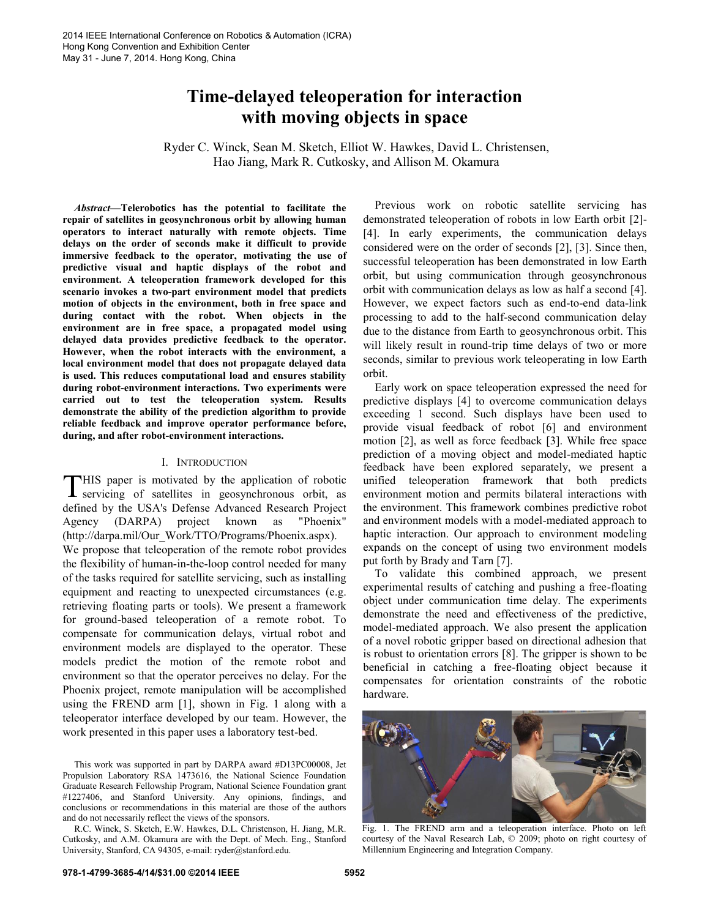# **Time-delayed teleoperation for interaction with moving objects in space**

Ryder C. Winck, Sean M. Sketch, Elliot W. Hawkes, David L. Christensen, Hao Jiang, Mark R. Cutkosky, and Allison M. Okamura

*Abstract***—Telerobotics has the potential to facilitate the repair of satellites in geosynchronous orbit by allowing human operators to interact naturally with remote objects. Time delays on the order of seconds make it difficult to provide immersive feedback to the operator, motivating the use of predictive visual and haptic displays of the robot and environment. A teleoperation framework developed for this scenario invokes a two-part environment model that predicts motion of objects in the environment, both in free space and during contact with the robot. When objects in the environment are in free space, a propagated model using delayed data provides predictive feedback to the operator. However, when the robot interacts with the environment, a local environment model that does not propagate delayed data is used. This reduces computational load and ensures stability during robot-environment interactions. Two experiments were carried out to test the teleoperation system. Results demonstrate the ability of the prediction algorithm to provide reliable feedback and improve operator performance before, during, and after robot-environment interactions.**

# I. INTRODUCTION

 $\Box$ HIS paper is motivated by the application of robotic THIS paper is motivated by the application of robotic servicing of satellites in geosynchronous orbit, as defined by the USA's Defense Advanced Research Project Agency (DARPA) project known as "Phoenix" (http://darpa.mil/Our\_Work/TTO/Programs/Phoenix.aspx). We propose that teleoperation of the remote robot provides the flexibility of human-in-the-loop control needed for many of the tasks required for satellite servicing, such as installing equipment and reacting to unexpected circumstances (e.g. retrieving floating parts or tools). We present a framework for ground-based teleoperation of a remote robot. To compensate for communication delays, virtual robot and environment models are displayed to the operator. These models predict the motion of the remote robot and environment so that the operator perceives no delay. For the Phoenix project, remote manipulation will be accomplished using the FREND arm [1], shown in Fig. 1 along with a

This work was supported in part by DARPA award #D13PC00008, Jet Propulsion Laboratory RSA 1473616, the National Science Foundation Graduate Research Fellowship Program, National Science Foundation grant #1227406, and Stanford University. Any opinions, findings, and conclusions or recommendations in this material are those of the authors and do not necessarily reflect the views of the sponsors.

teleoperator interface developed by our team. However, the work presented in this paper uses a laboratory test-bed.

R.C. Winck, S. Sketch, E.W. Hawkes, D.L. Christenson, H. Jiang, M.R. Cutkosky, and A.M. Okamura are with the Dept. of Mech. Eng., Stanford University, Stanford, CA 94305, e-mail: ryder@stanford.edu.

Previous work on robotic satellite servicing has demonstrated teleoperation of robots in low Earth orbit [2]- [4]. In early experiments, the communication delays considered were on the order of seconds [2], [3]. Since then, successful teleoperation has been demonstrated in low Earth orbit, but using communication through geosynchronous orbit with communication delays as low as half a second [4]. However, we expect factors such as end-to-end data-link processing to add to the half-second communication delay due to the distance from Earth to geosynchronous orbit. This will likely result in round-trip time delays of two or more seconds, similar to previous work teleoperating in low Earth orbit.

Early work on space teleoperation expressed the need for predictive displays [4] to overcome communication delays exceeding 1 second. Such displays have been used to provide visual feedback of robot [6] and environment motion [2], as well as force feedback [3]. While free space prediction of a moving object and model-mediated haptic feedback have been explored separately, we present a unified teleoperation framework that both predicts environment motion and permits bilateral interactions with the environment. This framework combines predictive robot and environment models with a model-mediated approach to haptic interaction. Our approach to environment modeling expands on the concept of using two environment models put forth by Brady and Tarn [7].

To validate this combined approach, we present experimental results of catching and pushing a free-floating object under communication time delay. The experiments demonstrate the need and effectiveness of the predictive, model-mediated approach. We also present the application of a novel robotic gripper based on directional adhesion that is robust to orientation errors [8]. The gripper is shown to be beneficial in catching a free-floating object because it compensates for orientation constraints of the robotic hardware.



Fig. 1. The FREND arm and a teleoperation interface. Photo on left courtesy of the Naval Research Lab, © 2009; photo on right courtesy of Millennium Engineering and Integration Company.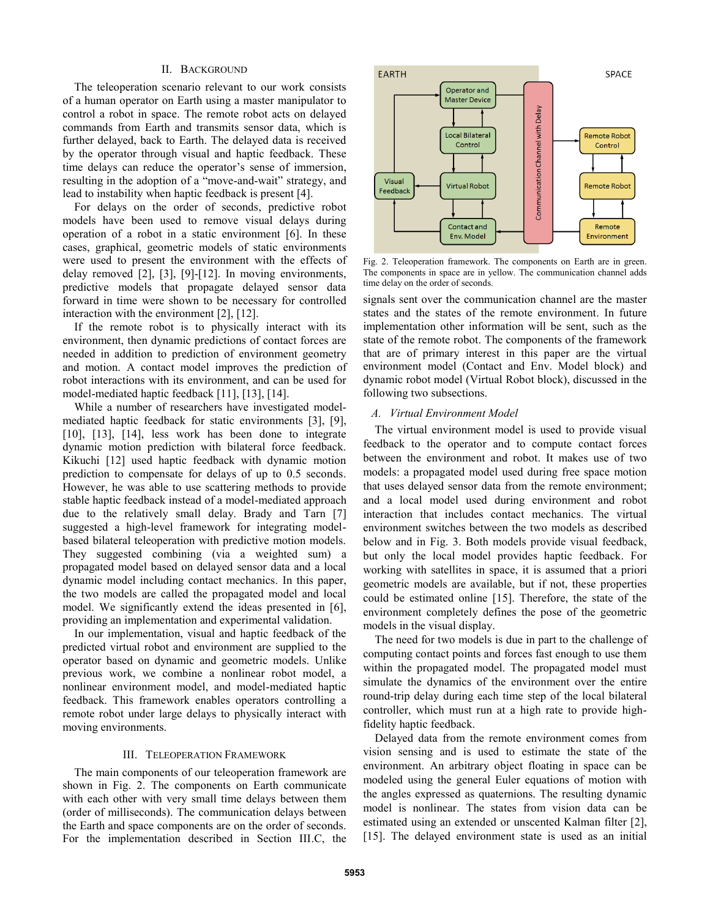#### II. BACKGROUND

The teleoperation scenario relevant to our work consists of a human operator on Earth using a master manipulator to control a robot in space. The remote robot acts on delayed commands from Earth and transmits sensor data, which is further delayed, back to Earth. The delayed data is received by the operator through visual and haptic feedback. These time delays can reduce the operator's sense of immersion, resulting in the adoption of a "move-and-wait" strategy, and lead to instability when haptic feedback is present [4].

For delays on the order of seconds, predictive robot models have been used to remove visual delays during operation of a robot in a static environment [6]. In these cases, graphical, geometric models of static environments were used to present the environment with the effects of delay removed [2], [3], [9]-[12]. In moving environments, predictive models that propagate delayed sensor data forward in time were shown to be necessary for controlled interaction with the environment [2], [12].

If the remote robot is to physically interact with its environment, then dynamic predictions of contact forces are needed in addition to prediction of environment geometry and motion. A contact model improves the prediction of robot interactions with its environment, and can be used for model-mediated haptic feedback [11], [13], [14].

While a number of researchers have investigated modelmediated haptic feedback for static environments [3], [9], [10], [13], [14], less work has been done to integrate dynamic motion prediction with bilateral force feedback. Kikuchi [12] used haptic feedback with dynamic motion prediction to compensate for delays of up to 0.5 seconds. However, he was able to use scattering methods to provide stable haptic feedback instead of a model-mediated approach due to the relatively small delay. Brady and Tarn [7] suggested a high-level framework for integrating modelbased bilateral teleoperation with predictive motion models. They suggested combining (via a weighted sum) a propagated model based on delayed sensor data and a local dynamic model including contact mechanics. In this paper, the two models are called the propagated model and local model. We significantly extend the ideas presented in [6], providing an implementation and experimental validation.

In our implementation, visual and haptic feedback of the predicted virtual robot and environment are supplied to the operator based on dynamic and geometric models. Unlike previous work, we combine a nonlinear robot model, a nonlinear environment model, and model-mediated haptic feedback. This framework enables operators controlling a remote robot under large delays to physically interact with moving environments.

## III. TELEOPERATION FRAMEWORK

The main components of our teleoperation framework are shown in Fig. 2. The components on Earth communicate with each other with very small time delays between them (order of milliseconds). The communication delays between the Earth and space components are on the order of seconds. For the implementation described in Section III.C, the



Fig. 2. Teleoperation framework. The components on Earth are in green. The components in space are in yellow. The communication channel adds time delay on the order of seconds.

signals sent over the communication channel are the master states and the states of the remote environment. In future implementation other information will be sent, such as the state of the remote robot. The components of the framework that are of primary interest in this paper are the virtual environment model (Contact and Env. Model block) and dynamic robot model (Virtual Robot block), discussed in the following two subsections.

## *A. Virtual Environment Model*

The virtual environment model is used to provide visual feedback to the operator and to compute contact forces between the environment and robot. It makes use of two models: a propagated model used during free space motion that uses delayed sensor data from the remote environment; and a local model used during environment and robot interaction that includes contact mechanics. The virtual environment switches between the two models as described below and in Fig. 3. Both models provide visual feedback, but only the local model provides haptic feedback. For working with satellites in space, it is assumed that a priori geometric models are available, but if not, these properties could be estimated online [15]. Therefore, the state of the environment completely defines the pose of the geometric models in the visual display.

The need for two models is due in part to the challenge of computing contact points and forces fast enough to use them within the propagated model. The propagated model must simulate the dynamics of the environment over the entire round-trip delay during each time step of the local bilateral controller, which must run at a high rate to provide highfidelity haptic feedback.

Delayed data from the remote environment comes from vision sensing and is used to estimate the state of the environment. An arbitrary object floating in space can be modeled using the general Euler equations of motion with the angles expressed as quaternions. The resulting dynamic model is nonlinear. The states from vision data can be estimated using an extended or unscented Kalman filter [2], [15]. The delayed environment state is used as an initial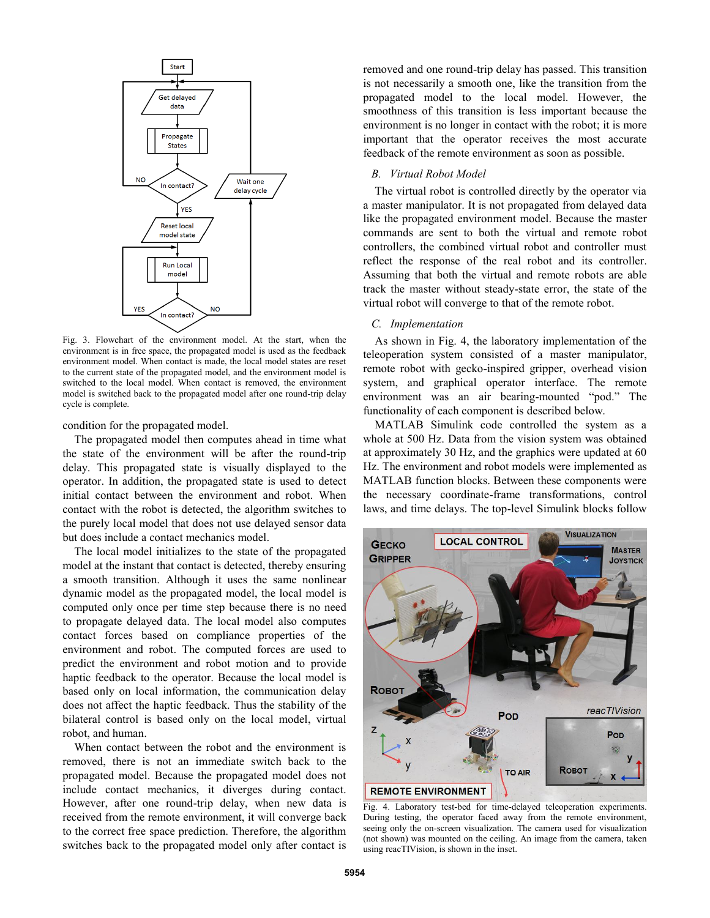

Fig. 3. Flowchart of the environment model. At the start, when the environment is in free space, the propagated model is used as the feedback environment model. When contact is made, the local model states are reset to the current state of the propagated model, and the environment model is switched to the local model. When contact is removed, the environment model is switched back to the propagated model after one round-trip delay cycle is complete.

condition for the propagated model.

The propagated model then computes ahead in time what the state of the environment will be after the round-trip delay. This propagated state is visually displayed to the operator. In addition, the propagated state is used to detect initial contact between the environment and robot. When contact with the robot is detected, the algorithm switches to the purely local model that does not use delayed sensor data but does include a contact mechanics model.

The local model initializes to the state of the propagated model at the instant that contact is detected, thereby ensuring a smooth transition. Although it uses the same nonlinear dynamic model as the propagated model, the local model is computed only once per time step because there is no need to propagate delayed data. The local model also computes contact forces based on compliance properties of the environment and robot. The computed forces are used to predict the environment and robot motion and to provide haptic feedback to the operator. Because the local model is based only on local information, the communication delay does not affect the haptic feedback. Thus the stability of the bilateral control is based only on the local model, virtual robot, and human.

When contact between the robot and the environment is removed, there is not an immediate switch back to the propagated model. Because the propagated model does not include contact mechanics, it diverges during contact. However, after one round-trip delay, when new data is received from the remote environment, it will converge back to the correct free space prediction. Therefore, the algorithm switches back to the propagated model only after contact is removed and one round-trip delay has passed. This transition is not necessarily a smooth one, like the transition from the propagated model to the local model. However, the smoothness of this transition is less important because the environment is no longer in contact with the robot; it is more important that the operator receives the most accurate feedback of the remote environment as soon as possible.

# *B. Virtual Robot Model*

The virtual robot is controlled directly by the operator via a master manipulator. It is not propagated from delayed data like the propagated environment model. Because the master commands are sent to both the virtual and remote robot controllers, the combined virtual robot and controller must reflect the response of the real robot and its controller. Assuming that both the virtual and remote robots are able track the master without steady-state error, the state of the virtual robot will converge to that of the remote robot.

# *C. Implementation*

As shown in Fig. 4, the laboratory implementation of the teleoperation system consisted of a master manipulator, remote robot with gecko-inspired gripper, overhead vision system, and graphical operator interface. The remote environment was an air bearing-mounted "pod." The functionality of each component is described below.

MATLAB Simulink code controlled the system as a whole at 500 Hz. Data from the vision system was obtained at approximately 30 Hz, and the graphics were updated at 60 Hz. The environment and robot models were implemented as MATLAB function blocks. Between these components were the necessary coordinate-frame transformations, control laws, and time delays. The top-level Simulink blocks follow



Fig. 4. Laboratory test-bed for time-delayed teleoperation experiments. During testing, the operator faced away from the remote environment, seeing only the on-screen visualization. The camera used for visualization (not shown) was mounted on the ceiling. An image from the camera, taken using reacTIVision, is shown in the inset.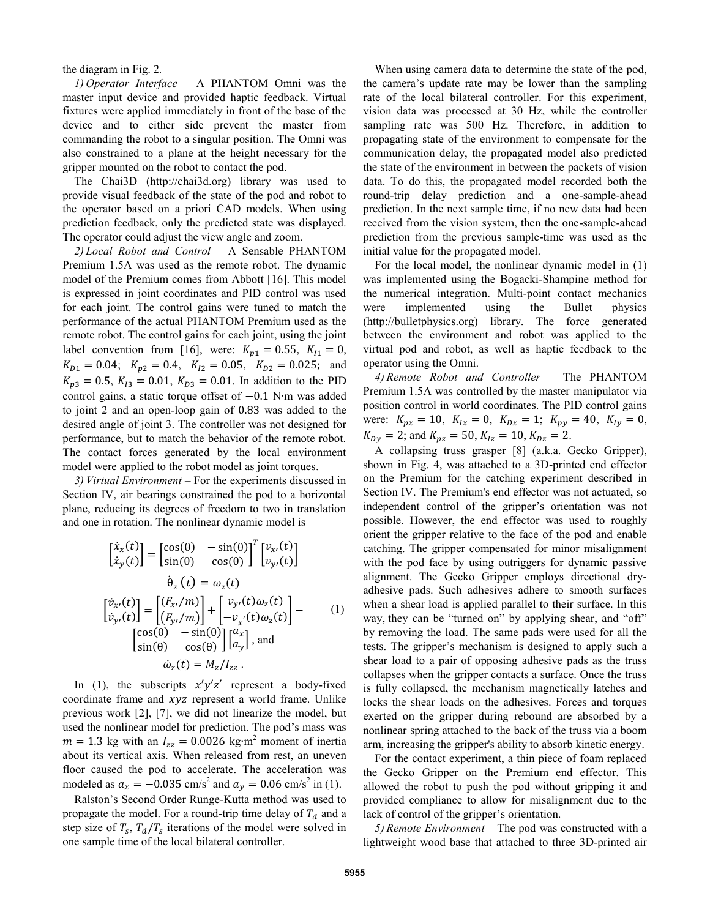the diagram in Fig. 2.

*1) Operator Interface* – A PHANTOM Omni was the master input device and provided haptic feedback. Virtual fixtures were applied immediately in front of the base of the device and to either side prevent the master from commanding the robot to a singular position. The Omni was also constrained to a plane at the height necessary for the gripper mounted on the robot to contact the pod.

The Chai3D (http://chai3d.org) library was used to provide visual feedback of the state of the pod and robot to the operator based on a priori CAD models. When using prediction feedback, only the predicted state was displayed. The operator could adjust the view angle and zoom.

*2) Local Robot and Control* – A Sensable PHANTOM Premium 1.5A was used as the remote robot. The dynamic model of the Premium comes from Abbott [16]. This model is expressed in joint coordinates and PID control was used for each joint. The control gains were tuned to match the performance of the actual PHANTOM Premium used as the remote robot. The control gains for each joint, using the joint label convention from [16], were:  $K_{p1} = 0.55$ ,  $K_{I1} = 0$ ,  $K_{D1} = 0.04; K_{D2} = 0.4, K_{I2} = 0.05, K_{D2} = 0.025;$  and  $K_{p3} = 0.5, K_{I3} = 0.01, K_{D3} = 0.01$ . In addition to the PID control gains, a static torque offset of  $-0.1$  N m was added to joint  $2$  and an open-loop gain of  $0.83$  was added to the desired angle of joint 3. The controller was not designed for performance, but to match the behavior of the remote robot. The contact forces generated by the local environment model were applied to the robot model as joint torques.

*3) Virtual Environment* – For the experiments discussed in Section IV, air bearings constrained the pod to a horizontal plane, reducing its degrees of freedom to two in translation and one in rotation. The nonlinear dynamic model is

$$
\begin{bmatrix} \dot{x}_x(t) \\ \dot{x}_y(t) \end{bmatrix} = \begin{bmatrix} \cos(\theta) & -\sin(\theta) \\ \sin(\theta) & \cos(\theta) \end{bmatrix}^T \begin{bmatrix} v_{x}(t) \\ v_{y}(t) \end{bmatrix}
$$

$$
\dot{\theta}_z(t) = \omega_z(t)
$$

$$
\begin{bmatrix} \dot{v}_{x}(t) \\ \dot{v}_{y}(t) \end{bmatrix} = \begin{bmatrix} (F_{x}(m)) \\ (F_{y}(m)) \end{bmatrix} + \begin{bmatrix} v_{y}(t)\omega_z(t) \\ -v_{x}(t)\omega_z(t) \end{bmatrix} - \begin{bmatrix} \cos(\theta) & -\sin(\theta) \\ \sin(\theta) & \cos(\theta) \end{bmatrix} \begin{bmatrix} a_x \\ a_y \end{bmatrix}, \text{ and}
$$

$$
\dot{\omega}_z(t) = M_z / I_{zz}.
$$

In (1), the subscripts  $x'y'z'$  represent a body-fixed coordinate frame and  $xyz$  represent a world frame. Unlike previous work [2], [7], we did not linearize the model, but used the nonlinear model for prediction. The pod's mass was  $m = 1.3$  kg with an  $I_{zz} = 0.0026$  kg·m<sup>2</sup> moment of inertia about its vertical axis. When released from rest, an uneven floor caused the pod to accelerate. The acceleration was modeled as  $a_x = -0.035$  cm/s<sup>2</sup> and  $a_y = 0.06$  cm/s<sup>2</sup> in (1).

Ralston's Second Order Runge-Kutta method was used to propagate the model. For a round-trip time delay of  $T_d$  and a step size of  $T_s$ ,  $T_d/T_s$  iterations of the model were solved in one sample time of the local bilateral controller.

When using camera data to determine the state of the pod, the camera's update rate may be lower than the sampling rate of the local bilateral controller. For this experiment, vision data was processed at 30 Hz, while the controller sampling rate was 500 Hz. Therefore, in addition to propagating state of the environment to compensate for the communication delay, the propagated model also predicted the state of the environment in between the packets of vision data. To do this, the propagated model recorded both the round-trip delay prediction and a one-sample-ahead prediction. In the next sample time, if no new data had been received from the vision system, then the one-sample-ahead prediction from the previous sample-time was used as the initial value for the propagated model.

For the local model, the nonlinear dynamic model in (1) was implemented using the Bogacki-Shampine method for the numerical integration. Multi-point contact mechanics were implemented using the Bullet physics (http://bulletphysics.org) library. The force generated between the environment and robot was applied to the virtual pod and robot, as well as haptic feedback to the operator using the Omni.

*4) Remote Robot and Controller* – The PHANTOM Premium 1.5A was controlled by the master manipulator via position control in world coordinates. The PID control gains were:  $K_{px} = 10$ ,  $K_{Ix} = 0$ ,  $K_{Dx} = 1$ ;  $K_{py} = 40$ ,  $K_{Iy} = 0$ ,  $K_{Dy} = 2$ ; and  $K_{pz} = 50$ ,  $K_{Iz} = 10$ ,  $K_{Dz} = 2$ .

A collapsing truss grasper [8] (a.k.a. Gecko Gripper), shown in Fig. 4, was attached to a 3D-printed end effector on the Premium for the catching experiment described in Section IV. The Premium's end effector was not actuated, so independent control of the gripper's orientation was not possible. However, the end effector was used to roughly orient the gripper relative to the face of the pod and enable catching. The gripper compensated for minor misalignment with the pod face by using outriggers for dynamic passive alignment. The Gecko Gripper employs directional dryadhesive pads. Such adhesives adhere to smooth surfaces when a shear load is applied parallel to their surface. In this way, they can be "turned on" by applying shear, and "off" by removing the load. The same pads were used for all the tests. The gripper's mechanism is designed to apply such a shear load to a pair of opposing adhesive pads as the truss collapses when the gripper contacts a surface. Once the truss is fully collapsed, the mechanism magnetically latches and locks the shear loads on the adhesives. Forces and torques exerted on the gripper during rebound are absorbed by a nonlinear spring attached to the back of the truss via a boom arm, increasing the gripper's ability to absorb kinetic energy.

For the contact experiment, a thin piece of foam replaced the Gecko Gripper on the Premium end effector. This allowed the robot to push the pod without gripping it and provided compliance to allow for misalignment due to the lack of control of the gripper's orientation.

*5) Remote Environment* – The pod was constructed with a lightweight wood base that attached to three 3D-printed air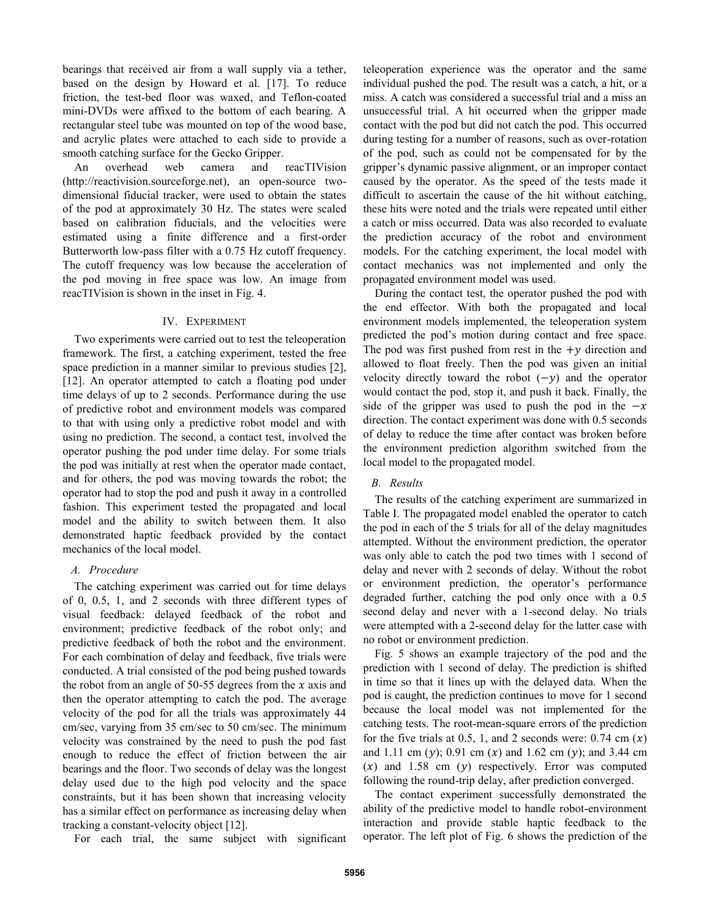bearings that received air from a wall supply via a tether, based on the design by Howard et al. [17]. To reduce friction, the test-bed floor was waxed, and Teflon-coated mini-DVDs were affixed to the bottom of each bearing. A rectangular steel tube was mounted on top of the wood base, and acrylic plates were attached to each side to provide a smooth catching surface for the Gecko Gripper.

An overhead web camera and reacTIVision (http://reactivision.sourceforge.net), an open-source twodimensional fiducial tracker, were used to obtain the states of the pod at approximately 30 Hz. The states were scaled based on calibration fiducials, and the velocities were estimated using a finite difference and a first-order Butterworth low-pass filter with a 0.75 Hz cutoff frequency. The cutoff frequency was low because the acceleration of the pod moving in free space was low. An image from reacTIVision is shown in the inset in Fig. 4.

## IV. EXPERIMENT

Two experiments were carried out to test the teleoperation framework. The first, a catching experiment, tested the free space prediction in a manner similar to previous studies [2], [12]. An operator attempted to catch a floating pod under time delays of up to 2 seconds. Performance during the use of predictive robot and environment models was compared to that with using only a predictive robot model and with using no prediction. The second, a contact test, involved the operator pushing the pod under time delay. For some trials the pod was initially at rest when the operator made contact, and for others, the pod was moving towards the robot; the operator had to stop the pod and push it away in a controlled fashion. This experiment tested the propagated and local model and the ability to switch between them. It also demonstrated haptic feedback provided by the contact mechanics of the local model.

# *A. Procedure*

The catching experiment was carried out for time delays of 0, 0.5, 1, and 2 seconds with three different types of visual feedback: delayed feedback of the robot and environment; predictive feedback of the robot only; and predictive feedback of both the robot and the environment. For each combination of delay and feedback, five trials were conducted. A trial consisted of the pod being pushed towards the robot from an angle of 50-55 degrees from the  $x$  axis and then the operator attempting to catch the pod. The average velocity of the pod for all the trials was approximately 44 cm/sec, varying from 35 cm/sec to 50 cm/sec. The minimum velocity was constrained by the need to push the pod fast enough to reduce the effect of friction between the air bearings and the floor. Two seconds of delay was the longest delay used due to the high pod velocity and the space constraints, but it has been shown that increasing velocity has a similar effect on performance as increasing delay when tracking a constant-velocity object [12].

For each trial, the same subject with significant

teleoperation experience was the operator and the same individual pushed the pod. The result was a catch, a hit, or a miss. A catch was considered a successful trial and a miss an unsuccessful trial. A hit occurred when the gripper made contact with the pod but did not catch the pod. This occurred during testing for a number of reasons, such as over-rotation of the pod, such as could not be compensated for by the gripper's dynamic passive alignment, or an improper contact caused by the operator. As the speed of the tests made it difficult to ascertain the cause of the hit without catching, these hits were noted and the trials were repeated until either a catch or miss occurred. Data was also recorded to evaluate the prediction accuracy of the robot and environment models. For the catching experiment, the local model with contact mechanics was not implemented and only the propagated environment model was used.

During the contact test, the operator pushed the pod with the end effector. With both the propagated and local environment models implemented, the teleoperation system predicted the pod's motion during contact and free space. The pod was first pushed from rest in the  $+y$  direction and allowed to float freely. Then the pod was given an initial velocity directly toward the robot  $(-y)$  and the operator would contact the pod, stop it, and push it back. Finally, the side of the gripper was used to push the pod in the  $-x$ direction. The contact experiment was done with 0.5 seconds of delay to reduce the time after contact was broken before the environment prediction algorithm switched from the local model to the propagated model.

# *B. Results*

The results of the catching experiment are summarized in Table I. The propagated model enabled the operator to catch the pod in each of the 5 trials for all of the delay magnitudes attempted. Without the environment prediction, the operator was only able to catch the pod two times with 1 second of delay and never with 2 seconds of delay. Without the robot or environment prediction, the operator's performance degraded further, catching the pod only once with a 0.5 second delay and never with a 1-second delay. No trials were attempted with a 2-second delay for the latter case with no robot or environment prediction.

Fig. 5 shows an example trajectory of the pod and the prediction with 1 second of delay. The prediction is shifted in time so that it lines up with the delayed data. When the pod is caught, the prediction continues to move for 1 second because the local model was not implemented for the catching tests. The root-mean-square errors of the prediction for the five trials at 0.5, 1, and 2 seconds were:  $0.74 \text{ cm} (x)$ and 1.11 cm (y); 0.91 cm (x) and 1.62 cm (y); and 3.44 cm  $(x)$  and 1.58 cm  $(y)$  respectively. Error was computed following the round-trip delay, after prediction converged.

The contact experiment successfully demonstrated the ability of the predictive model to handle robot-environment interaction and provide stable haptic feedback to the operator. The left plot of Fig. 6 shows the prediction of the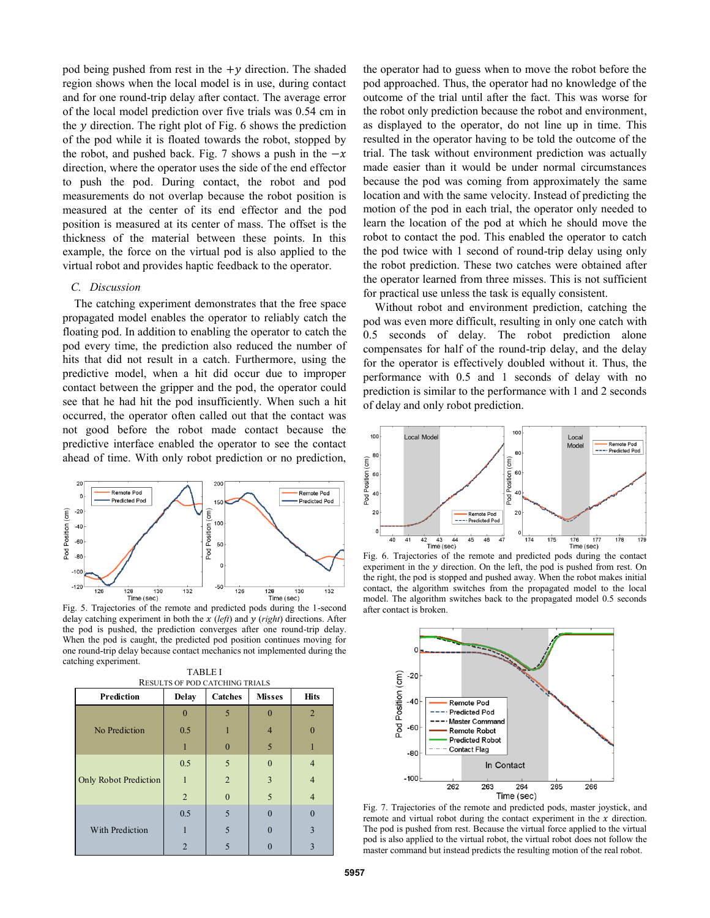pod being pushed from rest in the  $+y$  direction. The shaded region shows when the local model is in use, during contact and for one round-trip delay after contact. The average error of the local model prediction over five trials was 0.54 cm in the  $\nu$  direction. The right plot of Fig. 6 shows the prediction of the pod while it is floated towards the robot, stopped by the robot, and pushed back. Fig. 7 shows a push in the  $-x$ direction, where the operator uses the side of the end effector to push the pod. During contact, the robot and pod measurements do not overlap because the robot position is measured at the center of its end effector and the pod position is measured at its center of mass. The offset is the thickness of the material between these points. In this example, the force on the virtual pod is also applied to the virtual robot and provides haptic feedback to the operator.

# *C. Discussion*

The catching experiment demonstrates that the free space propagated model enables the operator to reliably catch the floating pod. In addition to enabling the operator to catch the pod every time, the prediction also reduced the number of hits that did not result in a catch. Furthermore, using the predictive model, when a hit did occur due to improper contact between the gripper and the pod, the operator could see that he had hit the pod insufficiently. When such a hit occurred, the operator often called out that the contact was not good before the robot made contact because the predictive interface enabled the operator to see the contact ahead of time. With only robot prediction or no prediction,



Fig. 5. Trajectories of the remote and predicted pods during the 1-second delay catching experiment in both the  $x$  (*left*) and  $y$  (*right*) directions. After the pod is pushed, the prediction converges after one round-trip delay. When the pod is caught, the predicted pod position continues moving for one round-trip delay because contact mechanics not implemented during the catching experiment.

| <b>TABLE I</b><br><b>RESULTS OF POD CATCHING TRIALS</b> |                |                |               |                |
|---------------------------------------------------------|----------------|----------------|---------------|----------------|
| Prediction                                              | <b>Delay</b>   | <b>Catches</b> | <b>Misses</b> | <b>Hits</b>    |
| No Prediction                                           |                | 5              | O             | $\overline{2}$ |
|                                                         | 0.5            |                | 4             | 0              |
|                                                         |                | $\Omega$       | 5             |                |
| <b>Only Robot Prediction</b>                            | 0.5            | 5              | $\Omega$      | $\overline{4}$ |
|                                                         |                | $\overline{2}$ | 3             | 4              |
|                                                         | $\overline{2}$ | $\Omega$       | 5             | $\overline{4}$ |
| With Prediction                                         | 0.5            | 5              | 0             |                |
|                                                         |                | 5              | $\Omega$      | 3              |
|                                                         |                |                |               |                |

the operator had to guess when to move the robot before the pod approached. Thus, the operator had no knowledge of the outcome of the trial until after the fact. This was worse for the robot only prediction because the robot and environment, as displayed to the operator, do not line up in time. This resulted in the operator having to be told the outcome of the trial. The task without environment prediction was actually made easier than it would be under normal circumstances because the pod was coming from approximately the same location and with the same velocity. Instead of predicting the motion of the pod in each trial, the operator only needed to learn the location of the pod at which he should move the robot to contact the pod. This enabled the operator to catch the pod twice with 1 second of round-trip delay using only the robot prediction. These two catches were obtained after the operator learned from three misses. This is not sufficient for practical use unless the task is equally consistent.

Without robot and environment prediction, catching the pod was even more difficult, resulting in only one catch with 0.5 seconds of delay. The robot prediction alone compensates for half of the round-trip delay, and the delay for the operator is effectively doubled without it. Thus, the performance with 0.5 and 1 seconds of delay with no prediction is similar to the performance with 1 and 2 seconds of delay and only robot prediction.



experiment in the  $y$  direction. On the left, the pod is pushed from rest. On the right, the pod is stopped and pushed away. When the robot makes initial contact, the algorithm switches from the propagated model to the local model. The algorithm switches back to the propagated model 0.5 seconds after contact is broken.



Fig. 7. Trajectories of the remote and predicted pods, master joystick, and remote and virtual robot during the contact experiment in the  $x$  direction. The pod is pushed from rest. Because the virtual force applied to the virtual pod is also applied to the virtual robot, the virtual robot does not follow the master command but instead predicts the resulting motion of the real robot.